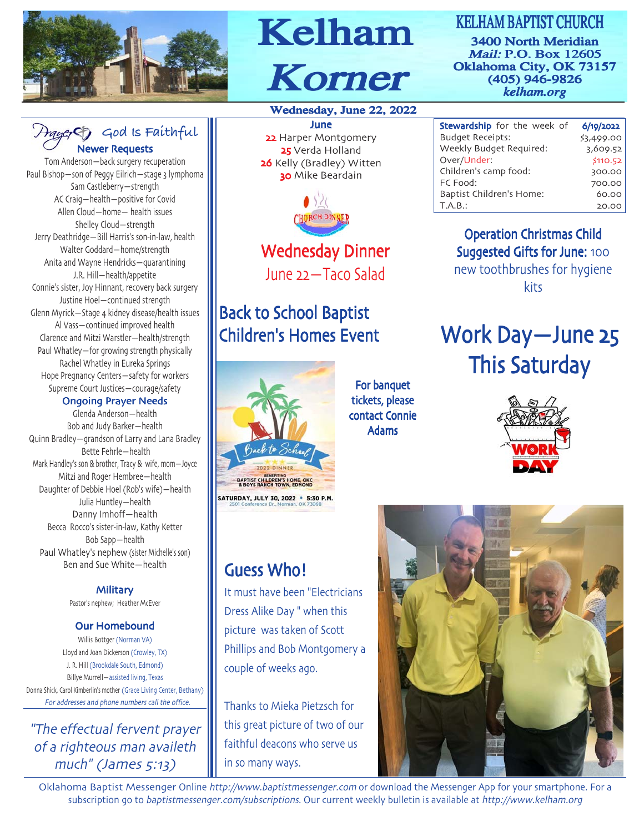

#### **God Is Faithful** Newer Requests

Tom Anderson—back surgery recuperation Paul Bishop—son of Peggy Eilrich—stage 3 lymphoma Sam Castleberry—strength AC Craig—health—positive for Covid Allen Cloud—home— health issues Shelley Cloud—strength Jerry Deathridge-Bill Harris's son-in-law, health Walter Goddard—home/strength Anita and Wayne Hendricks—quarantining J.R. Hill-health/appetite Connie's sister, Joy Hinnant, recovery back surgery Justine Hoel—continued strength Glenn Myrick—Stage kidney disease/health issues Al Vass—continued improved health Clarence and Mitzi Warstler—health/strength Paul Whatley—for growing strength physically Rachel Whatley in Eureka Springs Hope Pregnancy Centers—safety for workers Supreme Court Justices—courage/safety

#### Ongoing Prayer Needs

Glenda Anderson—health Bob and Judy Barker—health Quinn Bradley—grandson of Larry and Lana Bradley Bette Fehrle—health Mark Handley's son & brother, Tracy & wife, mom-Joyce Mitzi and Roger Hembree—health Daughter of Debbie Hoel (Rob's wife)—health Julia Huntley—health Danny Imhoff—health Becca Rocco's sister-in-law, Kathy Ketter Bob Sapp—health Paul Whatley's nephew (sister Michelle's son) Ben and Sue White—health

> **Military** Pastor's nephew; Heather McEver

#### Our Homebound

Willis Bottger (Norman VA) Lloyd and Joan Dickerson (Crowley, TX) J. R. Hill (Brookdale South, Edmond) Billye Murrell-assisted living, Texas Donna Shick, Carol Kimberlin's mother (Grace Living Center, Bethany) For addresses and phone numbers call the office

"The effectual fervent prayer of a righteous man availeth  $much''$  (James  $5:13$ )

# Kelham Korner Korner

#### Wednesday, June 22, 2022

June 22 Harper Montgomery 25 Verda Holland 26 Kelly (Bradley) Witten **30** Mike Beardain



### Wednesday Dinner June 22-Taco Salad

## **Back to School Baptist** Children's Homes Event



**Guess Who!** 

couple of weeks ago

in so many ways

It must have been "Electricians

Phillips and Bob Montgomery a

Thanks to Mieka Pietzsch for this great picture of two of our faithful deacons who serve us

Dress Alike Day " when this picture was taken of Scott

#### For banquet tickets, please contact Connie **Adams**

3400 North Meridian Mail: P.O. Box 12605 Oklahoma City, OK 73157 (405) 946-9826 *kelham.org* KELHAM BAPTIST CHURCH

| <b>Stewardship</b> for the week of | 6/19/2022  |
|------------------------------------|------------|
| <b>Budget Receipts:</b>            | \$3,499.00 |
| Weekly Budget Required:            | 3,609.52   |
| Over/Under:                        | \$110.52   |
| Children's camp food:              | 300.00     |
| FC Food:                           | 700.00     |
| Baptist Children's Home:           | 60.00      |
| T.A.B.:                            | 20.00      |
|                                    |            |

Operation Christmas Child Suggested Gifts for June: 100 new toothbrushes for hygiene kits

# Work Day-June 25 **This Saturday**





Oklahoma Baptist Messenger Online http://www.baptistmessenger.com or download the Messenger App for your smartphone. For a subscription go to baptistmessenger.com/subscriptions. Our current weekly bulletin is available at http://www.kelham.org